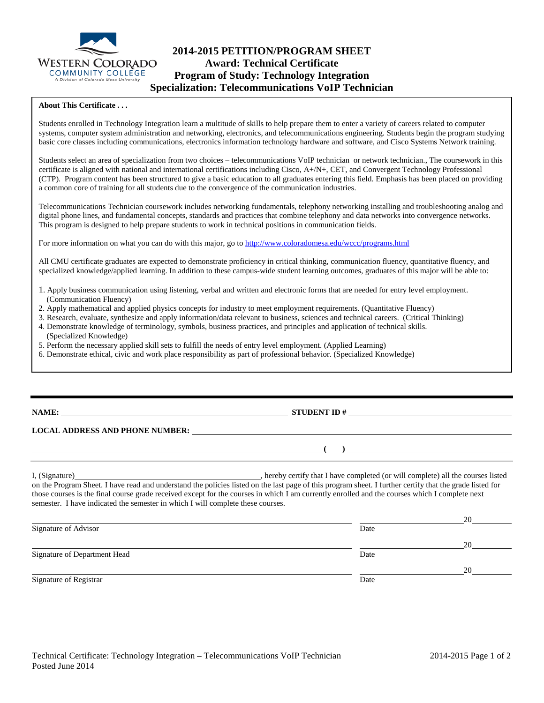

## **2014-2015 PETITION/PROGRAM SHEET Award: Technical Certificate Program of Study: Technology Integration Specialization: Telecommunications VoIP Technician**

#### **About This Certificate . . .**

Students enrolled in Technology Integration learn a multitude of skills to help prepare them to enter a variety of careers related to computer systems, computer system administration and networking, electronics, and telecommunications engineering. Students begin the program studying basic core classes including communications, electronics information technology hardware and software, and Cisco Systems Network training.

Students select an area of specialization from two choices – telecommunications VoIP technician or network technician., The coursework in this certificate is aligned with national and international certifications including Cisco, A+/N+, CET, and Convergent Technology Professional (CTP). Program content has been structured to give a basic education to all graduates entering this field. Emphasis has been placed on providing a common core of training for all students due to the convergence of the communication industries.

Telecommunications Technician coursework includes networking fundamentals, telephony networking installing and troubleshooting analog and digital phone lines, and fundamental concepts, standards and practices that combine telephony and data networks into convergence networks. This program is designed to help prepare students to work in technical positions in communication fields.

For more information on what you can do with this major, go to<http://www.coloradomesa.edu/wccc/programs.html>

All CMU certificate graduates are expected to demonstrate proficiency in critical thinking, communication fluency, quantitative fluency, and specialized knowledge/applied learning. In addition to these campus-wide student learning outcomes, graduates of this major will be able to:

- 1. Apply business communication using listening, verbal and written and electronic forms that are needed for entry level employment. (Communication Fluency)
- 2. Apply mathematical and applied physics concepts for industry to meet employment requirements. (Quantitative Fluency)
- 3. Research, evaluate, synthesize and apply information/data relevant to business, sciences and technical careers. (Critical Thinking)
- 4. Demonstrate knowledge of terminology, symbols, business practices, and principles and application of technical skills. (Specialized Knowledge)
- 5. Perform the necessary applied skill sets to fulfill the needs of entry level employment. (Applied Learning)
- 6. Demonstrate ethical, civic and work place responsibility as part of professional behavior. (Specialized Knowledge)

### **NAME: STUDENT ID #**

**( )** 

#### **LOCAL ADDRESS AND PHONE NUMBER:**

I, (Signature) and the completed (or will completed (or will complete) all the courses listed on the Program Sheet. I have read and understand the policies listed on the last page of this program sheet. I further certify that the grade listed for those courses is the final course grade received except for the courses in which I am currently enrolled and the courses which I complete next semester. I have indicated the semester in which I will complete these courses.

|                              |      | 20 |
|------------------------------|------|----|
| Signature of Advisor         | Date |    |
|                              |      | 20 |
| Signature of Department Head | Date |    |
|                              |      | 20 |
| Signature of Registrar       | Date |    |